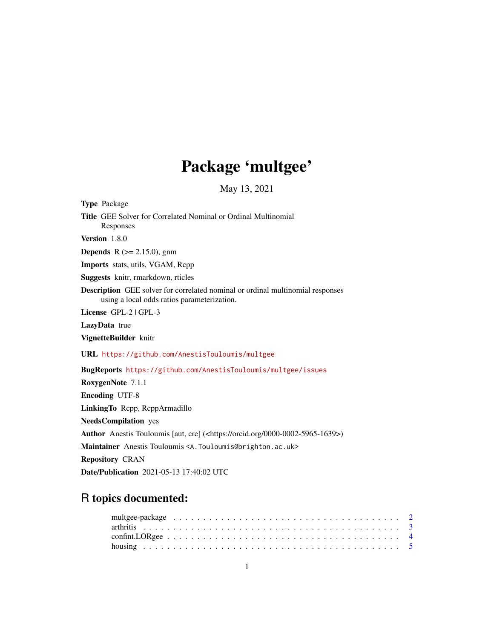# Package 'multgee'

May 13, 2021

<span id="page-0-0"></span>Type Package Title GEE Solver for Correlated Nominal or Ordinal Multinomial Responses Version 1.8.0 **Depends** R  $(>= 2.15.0)$ , gnm Imports stats, utils, VGAM, Rcpp Suggests knitr, rmarkdown, rticles Description GEE solver for correlated nominal or ordinal multinomial responses using a local odds ratios parameterization. License GPL-2 | GPL-3 LazyData true VignetteBuilder knitr URL <https://github.com/AnestisTouloumis/multgee> BugReports <https://github.com/AnestisTouloumis/multgee/issues> RoxygenNote 7.1.1 Encoding UTF-8 LinkingTo Rcpp, RcppArmadillo NeedsCompilation yes Author Anestis Touloumis [aut, cre] (<https://orcid.org/0000-0002-5965-1639>) Maintainer Anestis Touloumis <A. Touloumis@brighton.ac.uk> Repository CRAN Date/Publication 2021-05-13 17:40:02 UTC

## R topics documented: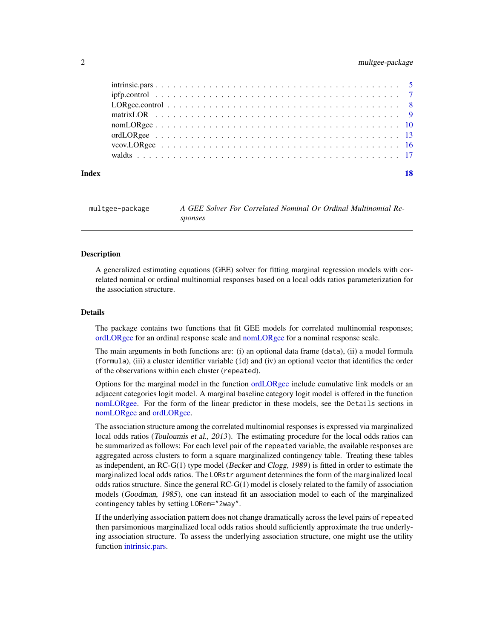#### <span id="page-1-0"></span>2 multgee-package

| Index | 18 |
|-------|----|
|       |    |
|       |    |
|       |    |
|       |    |
|       |    |
|       |    |
|       |    |
|       |    |

| multgee-package | A GEE Solver For Correlated Nominal Or Ordinal Multinomial Re- |
|-----------------|----------------------------------------------------------------|
|                 | sponses                                                        |

#### **Description**

A generalized estimating equations (GEE) solver for fitting marginal regression models with correlated nominal or ordinal multinomial responses based on a local odds ratios parameterization for the association structure.

#### Details

The package contains two functions that fit GEE models for correlated multinomial responses; [ordLORgee](#page-12-1) for an ordinal response scale and [nomLORgee](#page-9-1) for a nominal response scale.

The main arguments in both functions are: (i) an optional data frame (data), (ii) a model formula (formula), (iii) a cluster identifier variable (id) and (iv) an optional vector that identifies the order of the observations within each cluster (repeated).

Options for the marginal model in the function [ordLORgee](#page-12-1) include cumulative link models or an adjacent categories logit model. A marginal baseline category logit model is offered in the function [nomLORgee.](#page-9-1) For the form of the linear predictor in these models, see the Details sections in [nomLORgee](#page-9-1) and [ordLORgee.](#page-12-1)

The association structure among the correlated multinomial responses is expressed via marginalized local odds ratios (Touloumis et al., 2013). The estimating procedure for the local odds ratios can be summarized as follows: For each level pair of the repeated variable, the available responses are aggregated across clusters to form a square marginalized contingency table. Treating these tables as independent, an RC-G(1) type model (Becker and Clogg, 1989) is fitted in order to estimate the marginalized local odds ratios. The LORstr argument determines the form of the marginalized local odds ratios structure. Since the general RC-G(1) model is closely related to the family of association models (Goodman, 1985), one can instead fit an association model to each of the marginalized contingency tables by setting LORem="2way".

If the underlying association pattern does not change dramatically across the level pairs of repeated then parsimonious marginalized local odds ratios should sufficiently approximate the true underlying association structure. To assess the underlying association structure, one might use the utility function [intrinsic.pars.](#page-4-1)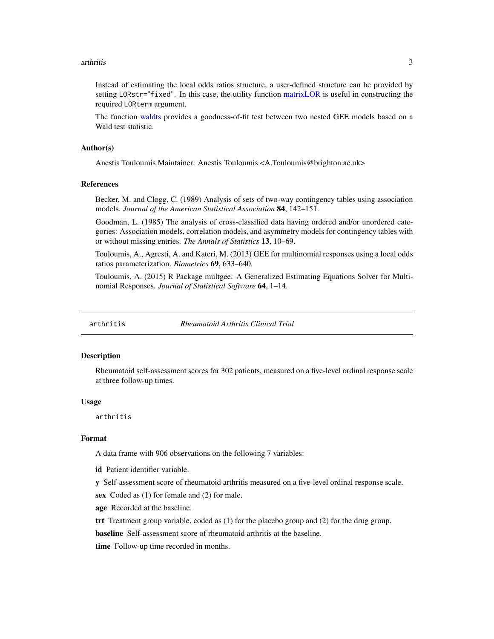#### <span id="page-2-0"></span>arthritis 3

Instead of estimating the local odds ratios structure, a user-defined structure can be provided by setting LORstr="fixed". In this case, the utility function [matrixLOR](#page-8-1) is useful in constructing the required LORterm argument.

The function [waldts](#page-16-1) provides a goodness-of-fit test between two nested GEE models based on a Wald test statistic.

#### Author(s)

Anestis Touloumis Maintainer: Anestis Touloumis <A.Touloumis@brighton.ac.uk>

#### References

Becker, M. and Clogg, C. (1989) Analysis of sets of two-way contingency tables using association models. *Journal of the American Statistical Association* 84, 142–151.

Goodman, L. (1985) The analysis of cross-classified data having ordered and/or unordered categories: Association models, correlation models, and asymmetry models for contingency tables with or without missing entries. *The Annals of Statistics* 13, 10–69.

Touloumis, A., Agresti, A. and Kateri, M. (2013) GEE for multinomial responses using a local odds ratios parameterization. *Biometrics* 69, 633–640.

Touloumis, A. (2015) R Package multgee: A Generalized Estimating Equations Solver for Multinomial Responses. *Journal of Statistical Software* 64, 1–14.

arthritis *Rheumatoid Arthritis Clinical Trial*

#### **Description**

Rheumatoid self-assessment scores for 302 patients, measured on a five-level ordinal response scale at three follow-up times.

#### Usage

arthritis

#### Format

A data frame with 906 observations on the following 7 variables:

id Patient identifier variable.

y Self-assessment score of rheumatoid arthritis measured on a five-level ordinal response scale.

sex Coded as (1) for female and (2) for male.

age Recorded at the baseline.

trt Treatment group variable, coded as (1) for the placebo group and (2) for the drug group.

baseline Self-assessment score of rheumatoid arthritis at the baseline.

time Follow-up time recorded in months.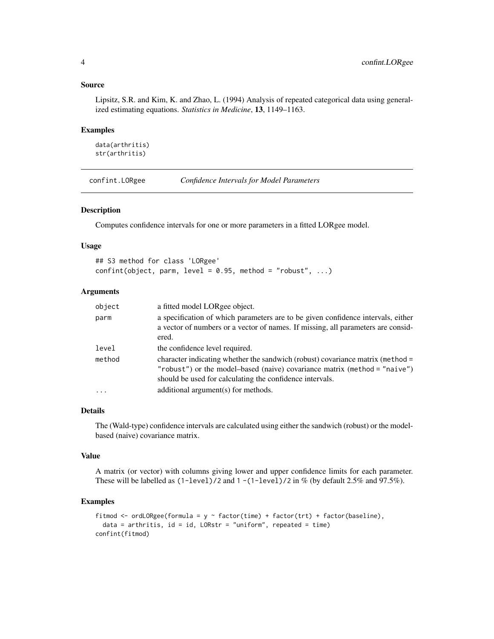#### <span id="page-3-0"></span>Source

Lipsitz, S.R. and Kim, K. and Zhao, L. (1994) Analysis of repeated categorical data using generalized estimating equations. *Statistics in Medicine*, 13, 1149–1163.

#### Examples

data(arthritis) str(arthritis)

confint.LORgee *Confidence Intervals for Model Parameters*

#### Description

Computes confidence intervals for one or more parameters in a fitted LORgee model.

#### Usage

## S3 method for class 'LORgee'  $confint(object, parm, level = 0.95, method = "robust", ...)$ 

#### Arguments

| object              | a fitted model LORgee object.                                                                                                                                                                                           |
|---------------------|-------------------------------------------------------------------------------------------------------------------------------------------------------------------------------------------------------------------------|
| parm                | a specification of which parameters are to be given confidence intervals, either<br>a vector of numbers or a vector of names. If missing, all parameters are consid-<br>ered.                                           |
| level               | the confidence level required.                                                                                                                                                                                          |
| method              | character indicating whether the sandwich (robust) covariance matrix (method =<br>"robust") or the model-based (naive) covariance matrix (method = "naive")<br>should be used for calculating the confidence intervals. |
| $\cdot \cdot \cdot$ | additional argument(s) for methods.                                                                                                                                                                                     |

#### Details

The (Wald-type) confidence intervals are calculated using either the sandwich (robust) or the modelbased (naive) covariance matrix.

#### Value

A matrix (or vector) with columns giving lower and upper confidence limits for each parameter. These will be labelled as  $(1$ -level)/2 and  $1 - (1$ -level)/2 in % (by default 2.5% and 97.5%).

#### Examples

```
fitmod <- ordLORgee(formula = y \sim factor(time) + factor(trt) + factor(baseline),
 data = arthritis, id = id, LORstr = "uniform", repeated = time)
confint(fitmod)
```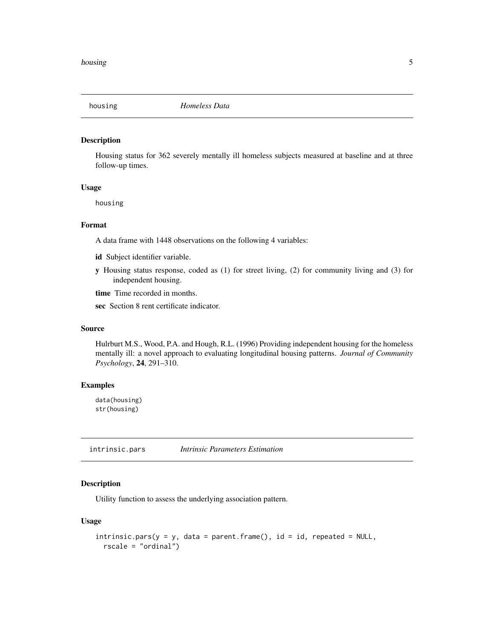<span id="page-4-0"></span>

#### Description

Housing status for 362 severely mentally ill homeless subjects measured at baseline and at three follow-up times.

#### Usage

housing

#### Format

A data frame with 1448 observations on the following 4 variables:

- id Subject identifier variable.
- y Housing status response, coded as (1) for street living, (2) for community living and (3) for independent housing.

time Time recorded in months.

sec Section 8 rent certificate indicator.

#### Source

Hulrburt M.S., Wood, P.A. and Hough, R.L. (1996) Providing independent housing for the homeless mentally ill: a novel approach to evaluating longitudinal housing patterns. *Journal of Community Psychology*, 24, 291–310.

#### Examples

data(housing) str(housing)

<span id="page-4-1"></span>intrinsic.pars *Intrinsic Parameters Estimation*

### Description

Utility function to assess the underlying association pattern.

#### Usage

```
intrinsic.parse(y = y, data = parent-frame(), id = id, repeated = NULL,rscale = "ordinal")
```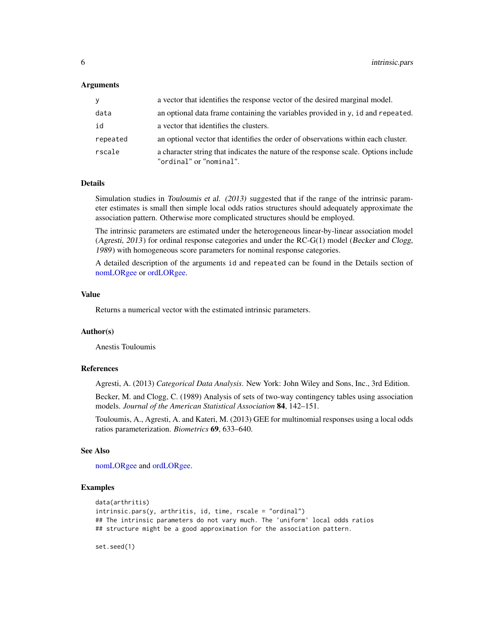#### <span id="page-5-0"></span>Arguments

| V        | a vector that identifies the response vector of the desired marginal model.                                    |
|----------|----------------------------------------------------------------------------------------------------------------|
| data     | an optional data frame containing the variables provided in $y$ , id and repeated.                             |
| id       | a vector that identifies the clusters.                                                                         |
| repeated | an optional vector that identifies the order of observations within each cluster.                              |
| rscale   | a character string that indicates the nature of the response scale. Options include<br>"ordinal" or "nominal". |

#### Details

Simulation studies in Touloumis et al. (2013) suggested that if the range of the intrinsic parameter estimates is small then simple local odds ratios structures should adequately approximate the association pattern. Otherwise more complicated structures should be employed.

The intrinsic parameters are estimated under the heterogeneous linear-by-linear association model (Agresti, 2013) for ordinal response categories and under the RC-G(1) model (Becker and Clogg, 1989) with homogeneous score parameters for nominal response categories.

A detailed description of the arguments id and repeated can be found in the Details section of [nomLORgee](#page-9-1) or [ordLORgee.](#page-12-1)

#### Value

Returns a numerical vector with the estimated intrinsic parameters.

#### Author(s)

Anestis Touloumis

#### References

Agresti, A. (2013) *Categorical Data Analysis*. New York: John Wiley and Sons, Inc., 3rd Edition.

Becker, M. and Clogg, C. (1989) Analysis of sets of two-way contingency tables using association models. *Journal of the American Statistical Association* 84, 142–151.

Touloumis, A., Agresti, A. and Kateri, M. (2013) GEE for multinomial responses using a local odds ratios parameterization. *Biometrics* 69, 633–640.

#### See Also

[nomLORgee](#page-9-1) and [ordLORgee.](#page-12-1)

#### Examples

```
data(arthritis)
intrinsic.pars(y, arthritis, id, time, rscale = "ordinal")
## The intrinsic parameters do not vary much. The 'uniform' local odds ratios
## structure might be a good approximation for the association pattern.
```
set.seed(1)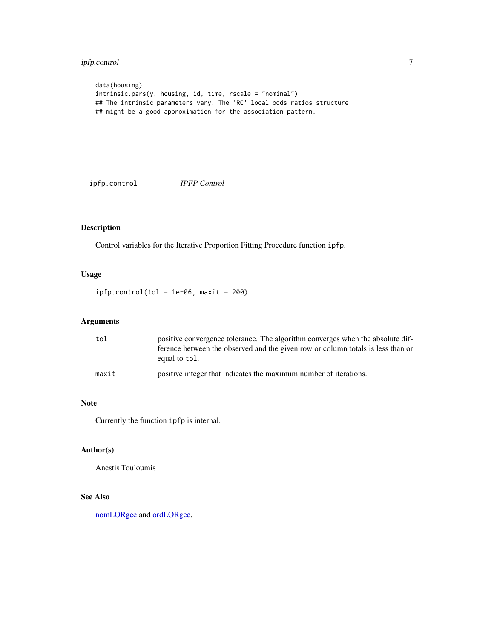### <span id="page-6-0"></span>ipfp.control 7

```
data(housing)
intrinsic.pars(y, housing, id, time, rscale = "nominal")
## The intrinsic parameters vary. The 'RC' local odds ratios structure
## might be a good approximation for the association pattern.
```
ipfp.control *IPFP Control*

#### Description

Control variables for the Iterative Proportion Fitting Procedure function ipfp.

#### Usage

 $ipfp.control(tol = 1e-06, maxit = 200)$ 

#### Arguments

| tol   | positive convergence tolerance. The algorithm converges when the absolute dif-<br>ference between the observed and the given row or column totals is less than or<br>equal to tol. |
|-------|------------------------------------------------------------------------------------------------------------------------------------------------------------------------------------|
| maxit | positive integer that indicates the maximum number of iterations.                                                                                                                  |

#### Note

Currently the function ipfp is internal.

#### Author(s)

Anestis Touloumis

#### See Also

[nomLORgee](#page-9-1) and [ordLORgee.](#page-12-1)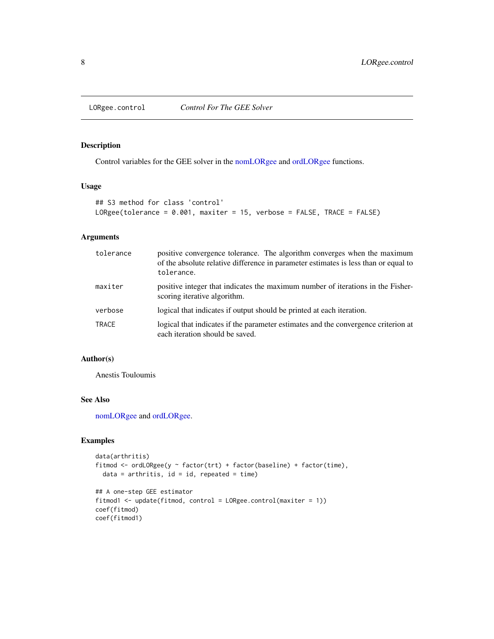<span id="page-7-0"></span>

#### Description

Control variables for the GEE solver in the [nomLORgee](#page-9-1) and [ordLORgee](#page-12-1) functions.

#### Usage

```
## S3 method for class 'control'
LORgee(tolerance = 0.001, maxiter = 15, verbose = FALSE, TRACE = FALSE)
```
#### Arguments

| tolerance | positive convergence tolerance. The algorithm converges when the maximum<br>of the absolute relative difference in parameter estimates is less than or equal to<br>tolerance. |
|-----------|-------------------------------------------------------------------------------------------------------------------------------------------------------------------------------|
| maxiter   | positive integer that indicates the maximum number of iterations in the Fisher-<br>scoring iterative algorithm.                                                               |
| verbose   | logical that indicates if output should be printed at each iteration.                                                                                                         |
| TRACE     | logical that indicates if the parameter estimates and the convergence criterion at<br>each iteration should be saved.                                                         |

#### Author(s)

Anestis Touloumis

#### See Also

[nomLORgee](#page-9-1) and [ordLORgee.](#page-12-1)

### Examples

```
data(arthritis)
fitmod <- ordLORgee(y ~ factor(trt) + factor(baseline) + factor(time),
  data = arthritis, id = id, repeated = time)
```

```
## A one-step GEE estimator
fitmod1 <- update(fitmod, control = LORgee.control(maxiter = 1))
coef(fitmod)
coef(fitmod1)
```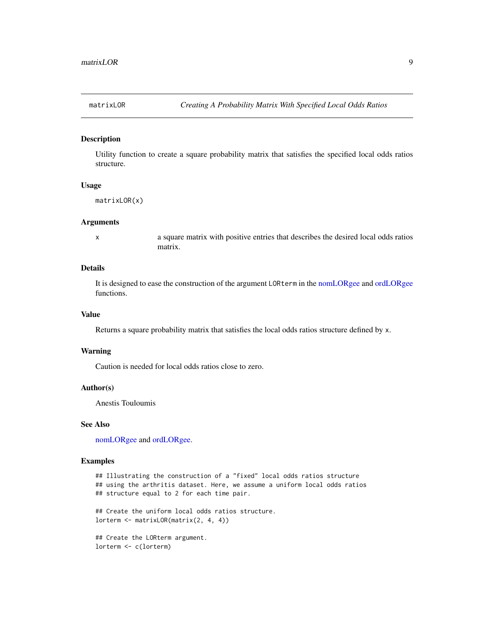<span id="page-8-1"></span><span id="page-8-0"></span>

#### Description

Utility function to create a square probability matrix that satisfies the specified local odds ratios structure.

#### Usage

```
matrixLOR(x)
```
#### Arguments

x a square matrix with positive entries that describes the desired local odds ratios matrix.

#### Details

It is designed to ease the construction of the argument LORterm in the [nomLORgee](#page-9-1) and [ordLORgee](#page-12-1) functions.

#### Value

Returns a square probability matrix that satisfies the local odds ratios structure defined by x.

#### Warning

Caution is needed for local odds ratios close to zero.

#### Author(s)

Anestis Touloumis

#### See Also

[nomLORgee](#page-9-1) and [ordLORgee.](#page-12-1)

#### Examples

```
## Illustrating the construction of a "fixed" local odds ratios structure
## using the arthritis dataset. Here, we assume a uniform local odds ratios
## structure equal to 2 for each time pair.
## Create the uniform local odds ratios structure.
lorterm <- matrixLOR(matrix(2, 4, 4))
```
## Create the LORterm argument. lorterm <- c(lorterm)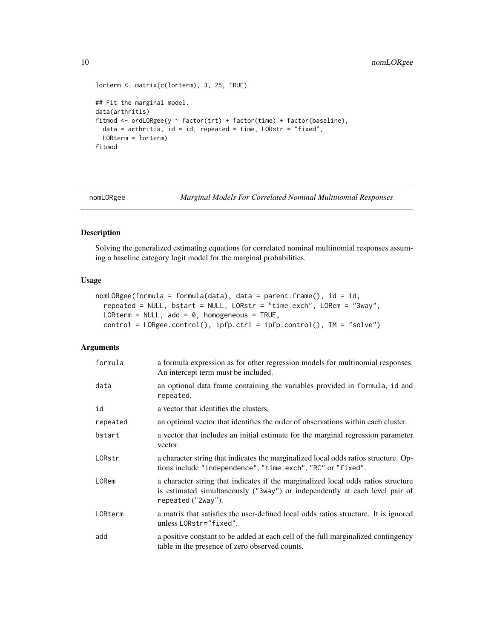```
lorterm <- matrix(c(lorterm), 3, 25, TRUE)
## Fit the marginal model.
data(arthritis)
fitmod <- ordLORgee(y ~ factor(trt) + factor(time) + factor(baseline),
 data = arthritis, id = id, repeated = time, LORstr = "fixed",
  LORterm = lorterm)
fitmod
```
<span id="page-9-1"></span>

nomLORgee *Marginal Models For Correlated Nominal Multinomial Responses*

#### Description

Solving the generalized estimating equations for correlated nominal multinomial responses assuming a baseline category logit model for the marginal probabilities.

#### Usage

```
nomLORgee(formula = formula(data), data = parent-frame(), id = id,repeated = NULL, bstart = NULL, LORstr = "time.exch", LORem = "3way",
 LORterm = NULL, add = 0, homogeneous = TRUE,
 control = LORgee.control(), ipfp.ctrl = ipfp.control(), IM = "solve")
```
#### Arguments

| formula  | a formula expression as for other regression models for multinomial responses.<br>An intercept term must be included.                                                                  |
|----------|----------------------------------------------------------------------------------------------------------------------------------------------------------------------------------------|
| data     | an optional data frame containing the variables provided in formula, id and<br>repeated.                                                                                               |
| id       | a vector that identifies the clusters.                                                                                                                                                 |
| repeated | an optional vector that identifies the order of observations within each cluster.                                                                                                      |
| bstart   | a vector that includes an initial estimate for the marginal regression parameter<br>vector.                                                                                            |
| LORstr   | a character string that indicates the marginalized local odds ratios structure. Op-<br>tions include "independence", "time.exch", "RC" or "fixed".                                     |
| LORem    | a character string that indicates if the marginalized local odds ratios structure<br>is estimated simultaneously ("3way") or independently at each level pair of<br>repeated ("2way"). |
| LORterm  | a matrix that satisfies the user-defined local odds ratios structure. It is ignored<br>unless LORstr="fixed".                                                                          |
| add      | a positive constant to be added at each cell of the full marginalized contingency<br>table in the presence of zero observed counts.                                                    |

<span id="page-9-0"></span>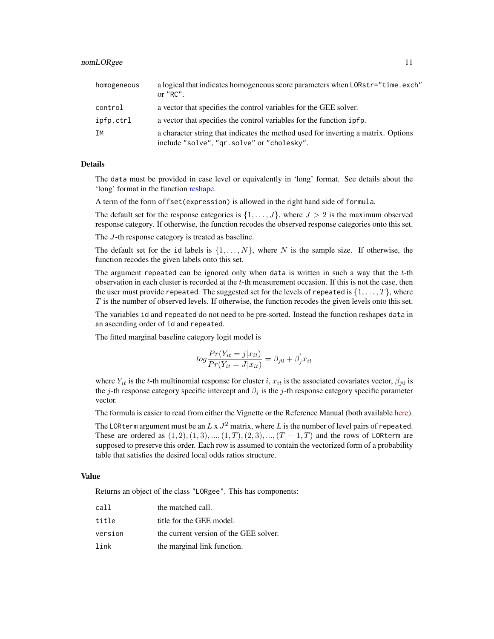<span id="page-10-0"></span>

| homogeneous | a logical that indicates homogeneous score parameters when LORstr="time.exch"<br>or $"RC"$ .                                    |
|-------------|---------------------------------------------------------------------------------------------------------------------------------|
| control     | a vector that specifies the control variables for the GEE solver.                                                               |
| ipfp.ctrl   | a vector that specifies the control variables for the function $ipfp$ .                                                         |
| ΙM          | a character string that indicates the method used for inverting a matrix. Options<br>include "solve", "qr.solve" or "cholesky". |

#### Details

The data must be provided in case level or equivalently in 'long' format. See details about the 'long' format in the function [reshape.](#page-0-0)

A term of the form offset(expression) is allowed in the right hand side of formula.

The default set for the response categories is  $\{1, \ldots, J\}$ , where  $J > 2$  is the maximum observed response category. If otherwise, the function recodes the observed response categories onto this set.

The J-th response category is treated as baseline.

The default set for the id labels is  $\{1, \ldots, N\}$ , where N is the sample size. If otherwise, the function recodes the given labels onto this set.

The argument repeated can be ignored only when data is written in such a way that the  $t$ -th observation in each cluster is recorded at the t-th measurement occasion. If this is not the case, then the user must provide repeated. The suggested set for the levels of repeated is  $\{1, \ldots, T\}$ , where  $T$  is the number of observed levels. If otherwise, the function recodes the given levels onto this set.

The variables id and repeated do not need to be pre-sorted. Instead the function reshapes data in an ascending order of id and repeated.

The fitted marginal baseline category logit model is

$$
log \frac{Pr(Y_{it} = j | x_{it})}{Pr(Y_{it} = J | x_{it})} = \beta_{j0} + \beta'_{j} x_{it}
$$

where  $Y_{it}$  is the t-th multinomial response for cluster i,  $x_{it}$  is the associated covariates vector,  $\beta_{j0}$  is the j-th response category specific intercept and  $\beta_j$  is the j-th response category specific parameter vector.

The formula is easier to read from either the Vignette or the Reference Manual (both available [here\)](https://CRAN.R-project.org/package=multgee).

The LORterm argument must be an  $L \ge J^2$  matrix, where  $L$  is the number of level pairs of repeated. These are ordered as  $(1, 2), (1, 3), ..., (1, T), (2, 3), ..., (T - 1, T)$  and the rows of LORterm are supposed to preserve this order. Each row is assumed to contain the vectorized form of a probability table that satisfies the desired local odds ratios structure.

#### Value

Returns an object of the class "LORgee". This has components:

| call    | the matched call.                      |
|---------|----------------------------------------|
| title   | title for the GEE model.               |
| version | the current version of the GEE solver. |
| link    | the marginal link function.            |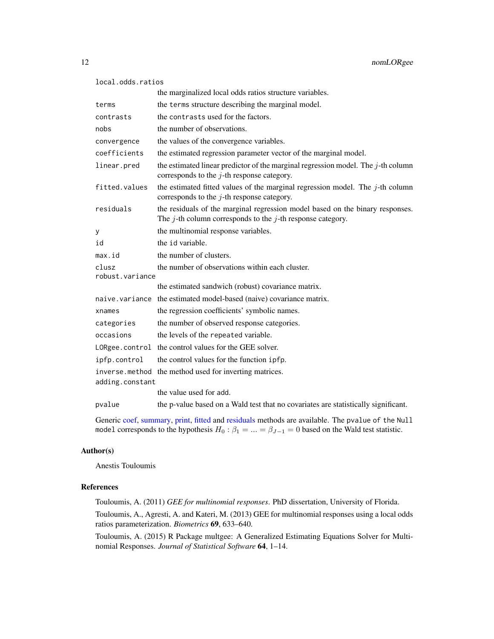```
local.odds.ratios
```

|                          | the marginalized local odds ratios structure variables.                                                                                           |
|--------------------------|---------------------------------------------------------------------------------------------------------------------------------------------------|
| terms                    | the terms structure describing the marginal model.                                                                                                |
| contrasts                | the contrasts used for the factors.                                                                                                               |
| nobs                     | the number of observations.                                                                                                                       |
| convergence              | the values of the convergence variables.                                                                                                          |
| coefficients             | the estimated regression parameter vector of the marginal model.                                                                                  |
| linear.pred              | the estimated linear predictor of the marginal regression model. The $j$ -th column<br>corresponds to the $j$ -th response category.              |
| fitted.values            | the estimated fitted values of the marginal regression model. The $j$ -th column<br>corresponds to the $j$ -th response category.                 |
| residuals                | the residuals of the marginal regression model based on the binary responses.<br>The $j$ -th column corresponds to the $j$ -th response category. |
| У                        | the multinomial response variables.                                                                                                               |
| id                       | the id variable.                                                                                                                                  |
| max.id                   | the number of clusters.                                                                                                                           |
| clusz<br>robust.variance | the number of observations within each cluster.                                                                                                   |
|                          | the estimated sandwich (robust) covariance matrix.                                                                                                |
| naive.variance           | the estimated model-based (naive) covariance matrix.                                                                                              |
| xnames                   | the regression coefficients' symbolic names.                                                                                                      |
| categories               | the number of observed response categories.                                                                                                       |
| occasions                | the levels of the repeated variable.                                                                                                              |
| LORgee.control           | the control values for the GEE solver.                                                                                                            |
| ipfp.control             | the control values for the function ipfp.                                                                                                         |
| inverse.method           | the method used for inverting matrices.                                                                                                           |
| adding.constant          |                                                                                                                                                   |
|                          | the value used for add.                                                                                                                           |
| pvalue                   | the p-value based on a Wald test that no covariates are statistically significant.                                                                |

Generic [coef,](#page-0-0) [summary,](#page-0-0) [print,](#page-0-0) [fitted](#page-0-0) and [residuals](#page-0-0) methods are available. The pvalue of the Null model corresponds to the hypothesis  $H_0$  :  $\beta_1 = ... = \beta_{J-1} = 0$  based on the Wald test statistic.

#### Author(s)

Anestis Touloumis

#### References

Touloumis, A. (2011) *GEE for multinomial responses*. PhD dissertation, University of Florida.

Touloumis, A., Agresti, A. and Kateri, M. (2013) GEE for multinomial responses using a local odds ratios parameterization. *Biometrics* 69, 633–640.

Touloumis, A. (2015) R Package multgee: A Generalized Estimating Equations Solver for Multinomial Responses. *Journal of Statistical Software* 64, 1–14.

<span id="page-11-0"></span>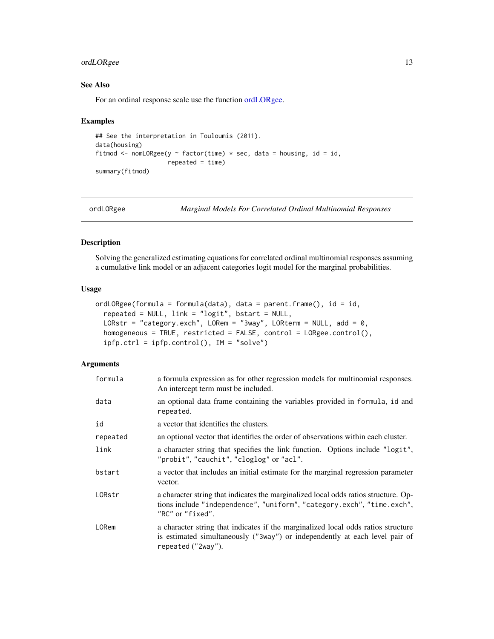#### <span id="page-12-0"></span>ordLORgee 13

#### See Also

For an ordinal response scale use the function [ordLORgee.](#page-12-1)

#### Examples

```
## See the interpretation in Touloumis (2011).
data(housing)
fitmod <- nomLORgee(y \sim factor(time) * sec, data = housing, id = id,
                    repeated = time)
summary(fitmod)
```
<span id="page-12-1"></span>ordLORgee *Marginal Models For Correlated Ordinal Multinomial Responses*

#### Description

Solving the generalized estimating equations for correlated ordinal multinomial responses assuming a cumulative link model or an adjacent categories logit model for the marginal probabilities.

#### Usage

```
ordLORgee(formula = formula(data), data = parent.frame(), id = id,
  repeated = NULL, link = "logit", bstart = NULL,
 LORstr = "category.exch", LORem = "3way", LORterm = NULL, add = 0,
 homogeneous = TRUE, restricted = FALSE, control = LORgee.control(),
 ipfp.ctrl = ipfp.control(), IM = "solve")
```
#### Arguments

| formula  | a formula expression as for other regression models for multinomial responses.<br>An intercept term must be included.                                                                  |
|----------|----------------------------------------------------------------------------------------------------------------------------------------------------------------------------------------|
| data     | an optional data frame containing the variables provided in formula, id and<br>repeated.                                                                                               |
| id       | a vector that identifies the clusters.                                                                                                                                                 |
| repeated | an optional vector that identifies the order of observations within each cluster.                                                                                                      |
| link     | a character string that specifies the link function. Options include "logit",<br>"probit", "cauchit", "cloglog" or "acl".                                                              |
| bstart   | a vector that includes an initial estimate for the marginal regression parameter<br>vector.                                                                                            |
| LORstr   | a character string that indicates the marginalized local odds ratios structure. Op-<br>tions include "independence", "uniform", "category.exch", "time.exch",<br>"RC" or "fixed".      |
| LORem    | a character string that indicates if the marginalized local odds ratios structure<br>is estimated simultaneously ("3way") or independently at each level pair of<br>repeated ("2way"). |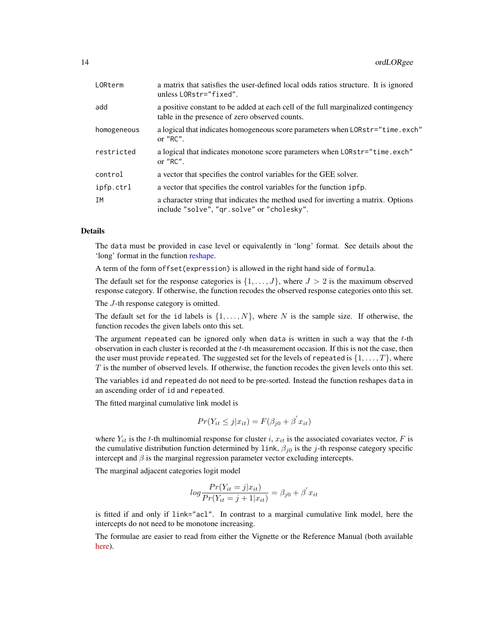<span id="page-13-0"></span>

| LORterm     | a matrix that satisfies the user-defined local odds ratios structure. It is ignored<br>unless LORstr="fixed".                       |  |
|-------------|-------------------------------------------------------------------------------------------------------------------------------------|--|
| add         | a positive constant to be added at each cell of the full marginalized contingency<br>table in the presence of zero observed counts. |  |
| homogeneous | a logical that indicates homogeneous score parameters when LORstr="time.exch"<br>or $"RC"$ .                                        |  |
| restricted  | a logical that indicates monotone score parameters when LORstr="time.exch"<br>or $"RC"$ .                                           |  |
| control     | a vector that specifies the control variables for the GEE solver.                                                                   |  |
| ipfp.ctrl   | a vector that specifies the control variables for the function 1pfp.                                                                |  |
| ΙM          | a character string that indicates the method used for inverting a matrix. Options<br>include "solve", "qr.solve" or "cholesky".     |  |

#### Details

The data must be provided in case level or equivalently in 'long' format. See details about the 'long' format in the function [reshape.](#page-0-0)

A term of the form offset(expression) is allowed in the right hand side of formula.

The default set for the response categories is  $\{1, \ldots, J\}$ , where  $J > 2$  is the maximum observed response category. If otherwise, the function recodes the observed response categories onto this set.

The *J*-th response category is omitted.

The default set for the id labels is  $\{1, \ldots, N\}$ , where N is the sample size. If otherwise, the function recodes the given labels onto this set.

The argument repeated can be ignored only when data is written in such a way that the  $t$ -th observation in each cluster is recorded at the t-th measurement occasion. If this is not the case, then the user must provide repeated. The suggested set for the levels of repeated is  $\{1, \ldots, T\}$ , where  $T$  is the number of observed levels. If otherwise, the function recodes the given levels onto this set.

The variables id and repeated do not need to be pre-sorted. Instead the function reshapes data in an ascending order of id and repeated.

The fitted marginal cumulative link model is

$$
Pr(Y_{it} \le j | x_{it}) = F(\beta_{j0} + \beta^{'} x_{it})
$$

where  $Y_{it}$  is the t-th multinomial response for cluster i,  $x_{it}$  is the associated covariates vector, F is the cumulative distribution function determined by link,  $\beta_{i0}$  is the j-th response category specific intercept and  $\beta$  is the marginal regression parameter vector excluding intercepts.

The marginal adjacent categories logit model

$$
log \frac{Pr(Y_{it} = j | x_{it})}{Pr(Y_{it} = j + 1 | x_{it})} = \beta_{j0} + \beta' x_{it}
$$

is fitted if and only if link="acl". In contrast to a marginal cumulative link model, here the intercepts do not need to be monotone increasing.

The formulae are easier to read from either the Vignette or the Reference Manual (both available [here\)](https://CRAN.R-project.org/package=multgee).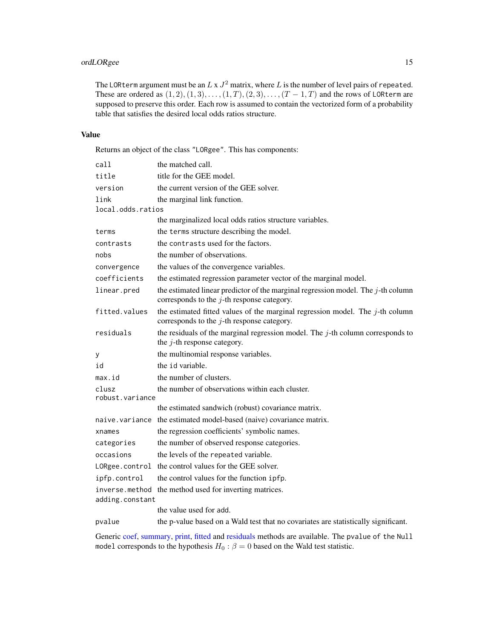#### <span id="page-14-0"></span>ordLORgee 15

The LORterm argument must be an  $L \ge J^2$  matrix, where  $L$  is the number of level pairs of repeated. These are ordered as  $(1, 2), (1, 3), \ldots, (1, T), (2, 3), \ldots, (T-1, T)$  and the rows of LORterm are supposed to preserve this order. Each row is assumed to contain the vectorized form of a probability table that satisfies the desired local odds ratios structure.

#### Value

Returns an object of the class "LORgee". This has components:

| call                     | the matched call.                                                                                                                    |  |
|--------------------------|--------------------------------------------------------------------------------------------------------------------------------------|--|
| title                    | title for the GEE model.                                                                                                             |  |
| version                  | the current version of the GEE solver.                                                                                               |  |
| link                     | the marginal link function.                                                                                                          |  |
| local.odds.ratios        |                                                                                                                                      |  |
|                          | the marginalized local odds ratios structure variables.                                                                              |  |
| terms                    | the terms structure describing the model.                                                                                            |  |
| contrasts                | the contrasts used for the factors.                                                                                                  |  |
| nobs                     | the number of observations.                                                                                                          |  |
| convergence              | the values of the convergence variables.                                                                                             |  |
| coefficients             | the estimated regression parameter vector of the marginal model.                                                                     |  |
| linear.pred              | the estimated linear predictor of the marginal regression model. The $j$ -th column<br>corresponds to the $j$ -th response category. |  |
| fitted.values            | the estimated fitted values of the marginal regression model. The $j$ -th column<br>corresponds to the $j$ -th response category.    |  |
| residuals                | the residuals of the marginal regression model. The $j$ -th column corresponds to<br>the $j$ -th response category.                  |  |
| у                        | the multinomial response variables.                                                                                                  |  |
| id                       | the id variable.                                                                                                                     |  |
| max.id                   | the number of clusters.                                                                                                              |  |
| clusz<br>robust.variance | the number of observations within each cluster.                                                                                      |  |
|                          | the estimated sandwich (robust) covariance matrix.                                                                                   |  |
|                          | naive.variance the estimated model-based (naive) covariance matrix.                                                                  |  |
| xnames                   | the regression coefficients' symbolic names.                                                                                         |  |
| categories               | the number of observed response categories.                                                                                          |  |
| occasions                | the levels of the repeated variable.                                                                                                 |  |
| LORgee.control           | the control values for the GEE solver.                                                                                               |  |
| ipfp.control             | the control values for the function ipfp.                                                                                            |  |
| inverse.method           | the method used for inverting matrices.                                                                                              |  |
| adding.constant          |                                                                                                                                      |  |
|                          | the value used for add.                                                                                                              |  |
| pvalue                   | the p-value based on a Wald test that no covariates are statistically significant.                                                   |  |

Generic [coef,](#page-0-0) [summary,](#page-0-0) [print,](#page-0-0) [fitted](#page-0-0) and [residuals](#page-0-0) methods are available. The pvalue of the Null model corresponds to the hypothesis  $H_0$ :  $\beta = 0$  based on the Wald test statistic.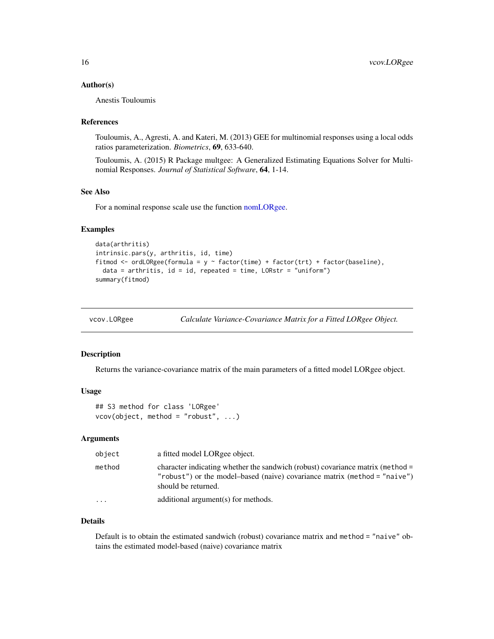#### <span id="page-15-0"></span>Author(s)

Anestis Touloumis

#### References

Touloumis, A., Agresti, A. and Kateri, M. (2013) GEE for multinomial responses using a local odds ratios parameterization. *Biometrics*, 69, 633-640.

Touloumis, A. (2015) R Package multgee: A Generalized Estimating Equations Solver for Multinomial Responses. *Journal of Statistical Software*, 64, 1-14.

#### See Also

For a nominal response scale use the function [nomLORgee.](#page-9-1)

#### Examples

```
data(arthritis)
intrinsic.pars(y, arthritis, id, time)
fitmod <- ordLORgee(formula = y \sim factor(time) + factor(trt) + factor(baseline),
 data = arithmetic, id = id, repeated = time, LORstr = "uniform")summary(fitmod)
```

| vcov.LORgee |  | Calculate Variance-Covariance Matrix for a Fitted LORgee Object. |
|-------------|--|------------------------------------------------------------------|
|             |  |                                                                  |

#### Description

Returns the variance-covariance matrix of the main parameters of a fitted model LORgee object.

#### Usage

```
## S3 method for class 'LORgee'
vcov(object, method = "robust", ...)
```
#### Arguments

| object   | a fitted model LORgee object.                                                                                                                                                      |
|----------|------------------------------------------------------------------------------------------------------------------------------------------------------------------------------------|
| method   | character indicating whether the sandwich (robust) covariance matrix (method =<br>"robust") or the model-based (naive) covariance matrix (method = "naive")<br>should be returned. |
| $\cdots$ | additional argument(s) for methods.                                                                                                                                                |

#### Details

Default is to obtain the estimated sandwich (robust) covariance matrix and method = "naive" obtains the estimated model-based (naive) covariance matrix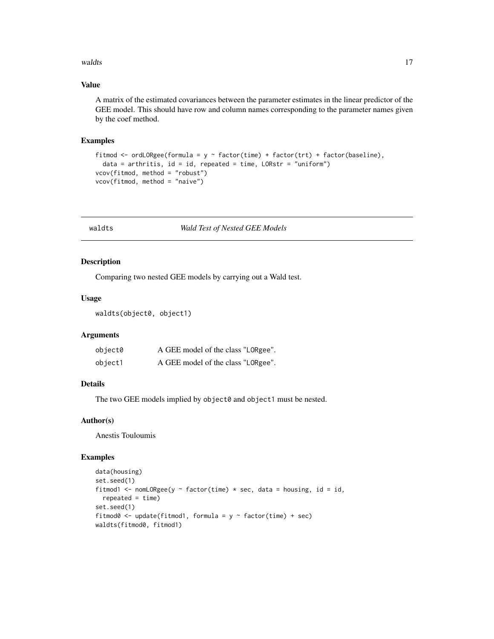#### <span id="page-16-0"></span>waldts and the contract of the contract of the contract of the contract of the contract of the contract of the contract of the contract of the contract of the contract of the contract of the contract of the contract of the

#### Value

A matrix of the estimated covariances between the parameter estimates in the linear predictor of the GEE model. This should have row and column names corresponding to the parameter names given by the coef method.

#### Examples

```
fitmod <- ordLORgee(formula = y \sim factor(time) + factor(trt) + factor(baseline),
  data = arithmetic, id = id, repeated = time, LORstr = "uniform")vcov(fitmod, method = "robust")
vcov(fitmod, method = "naive")
```
<span id="page-16-1"></span>

#### waldts *Wald Test of Nested GEE Models*

#### Description

Comparing two nested GEE models by carrying out a Wald test.

#### Usage

waldts(object0, object1)

#### Arguments

| object0 | A GEE model of the class "LORgee". |
|---------|------------------------------------|
| object1 | A GEE model of the class "LORgee". |

#### Details

The two GEE models implied by object0 and object1 must be nested.

#### Author(s)

Anestis Touloumis

#### Examples

```
data(housing)
set.seed(1)
fitmod1 <- nomLORgee(y \sim factor(time) * sec, data = housing, id = id,
  repeated = time)set.seed(1)
fitmod0 <- update(fitmod1, formula = y \sim factor(time) + sec)
waldts(fitmod0, fitmod1)
```